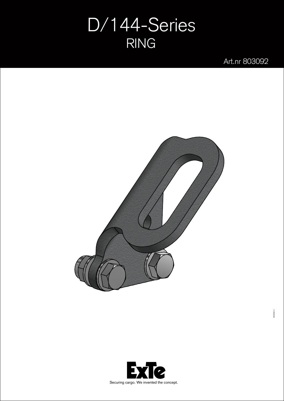## D/144-Series RING

Art.nr 803092



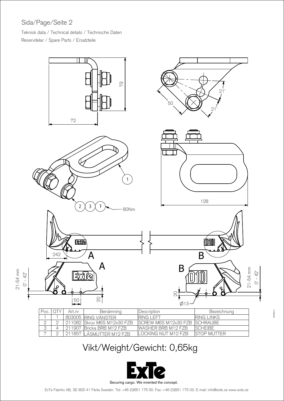## Sida/Page/Seite 2

Teknisk data / Technical details / Technische Daten Reservdelar / Spare Parts / Ersatzteile



## Vikt/Weight/Gewicht: 0,65kg



ExTe Fabriks AB, SE-820 41 Flrila Sweden. Tel: +46 (0)651 175 00. Fax: +46 (0)651 175 03. E-mail: info@exte.se www.exte.se